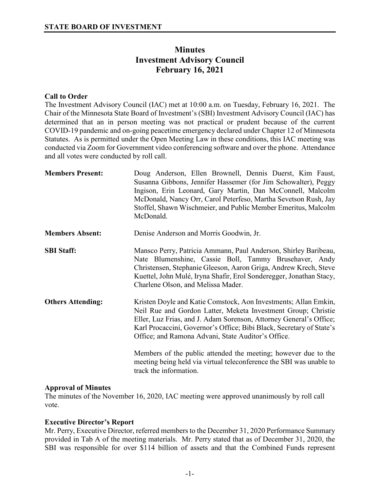# **Minutes Investment Advisory Council February 16, 2021**

## **Call to Order**

The Investment Advisory Council (IAC) met at 10:00 a.m. on Tuesday, February 16, 2021. The Chair of the Minnesota State Board of Investment's (SBI) Investment Advisory Council (IAC) has determined that an in person meeting was not practical or prudent because of the current COVID-19 pandemic and on-going peacetime emergency declared under Chapter 12 of Minnesota Statutes. As is permitted under the Open Meeting Law in these conditions, this IAC meeting was conducted via Zoom for Government video conferencing software and over the phone. Attendance and all votes were conducted by roll call.

| <b>Members Present:</b>  | Doug Anderson, Ellen Brownell, Dennis Duerst, Kim Faust,<br>Susanna Gibbons, Jennifer Hassemer (for Jim Schowalter), Peggy<br>Ingison, Erin Leonard, Gary Martin, Dan McConnell, Malcolm<br>McDonald, Nancy Orr, Carol Peterfeso, Martha Sevetson Rush, Jay<br>Stoffel, Shawn Wischmeier, and Public Member Emeritus, Malcolm<br>McDonald. |
|--------------------------|--------------------------------------------------------------------------------------------------------------------------------------------------------------------------------------------------------------------------------------------------------------------------------------------------------------------------------------------|
| <b>Members Absent:</b>   | Denise Anderson and Morris Goodwin, Jr.                                                                                                                                                                                                                                                                                                    |
| <b>SBI Staff:</b>        | Mansco Perry, Patricia Ammann, Paul Anderson, Shirley Baribeau,<br>Nate Blumenshine, Cassie Boll, Tammy Brusehaver, Andy<br>Christensen, Stephanie Gleeson, Aaron Griga, Andrew Krech, Steve<br>Kuettel, John Mulé, Iryna Shafir, Erol Sonderegger, Jonathan Stacy,<br>Charlene Olson, and Melissa Mader.                                  |
| <b>Others Attending:</b> | Kristen Doyle and Katie Comstock, Aon Investments; Allan Emkin,<br>Neil Rue and Gordon Latter, Meketa Investment Group; Christie<br>Eller, Luz Frias, and J. Adam Sorenson, Attorney General's Office;<br>Karl Procaccini, Governor's Office; Bibi Black, Secretary of State's<br>Office; and Ramona Advani, State Auditor's Office.       |
|                          | Members of the public attended the meeting; however due to the<br>meeting being held via virtual teleconference the SBI was unable to<br>track the information.                                                                                                                                                                            |

## **Approval of Minutes**

The minutes of the November 16, 2020, IAC meeting were approved unanimously by roll call vote.

# **Executive Director's Report**

Mr. Perry, Executive Director, referred members to the December 31, 2020 Performance Summary provided in Tab A of the meeting materials. Mr. Perry stated that as of December 31, 2020, the SBI was responsible for over \$114 billion of assets and that the Combined Funds represent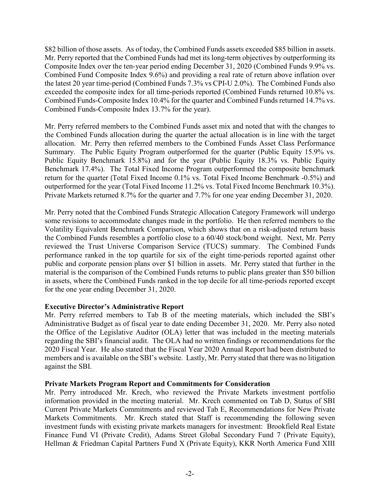\$82 billion of those assets. As of today, the Combined Funds assets exceeded \$85 billion in assets. Mr. Perry reported that the Combined Funds had met its long-term objectives by outperforming its Composite Index over the ten-year period ending December 31, 2020 (Combined Funds 9.9% vs. Combined Fund Composite Index 9.6%) and providing a real rate of return above inflation over the latest 20 year time-period (Combined Funds 7.3% vs CPI-U 2.0%). The Combined Funds also exceeded the composite index for all time-periods reported (Combined Funds returned 10.8% vs. Combined Funds-Composite Index 10.4% for the quarter and Combined Funds returned 14.7% vs. Combined Funds-Composite Index 13.7% for the year).

Mr. Perry referred members to the Combined Funds asset mix and noted that with the changes to the Combined Funds allocation during the quarter the actual allocation is in line with the target allocation. Mr. Perry then referred members to the Combined Funds Asset Class Performance Summary. The Public Equity Program outperformed for the quarter (Public Equity 15.9% vs. Public Equity Benchmark 15.8%) and for the year (Public Equity 18.3% vs. Public Equity Benchmark 17.4%). The Total Fixed Income Program outperformed the composite benchmark return for the quarter (Total Fixed Income 0.1% vs. Total Fixed Income Benchmark -0.5%) and outperformed for the year (Total Fixed Income 11.2% vs. Total Fixed Income Benchmark 10.3%). Private Markets returned 8.7% for the quarter and 7.7% for one year ending December 31, 2020.

Mr. Perry noted that the Combined Funds Strategic Allocation Category Framework will undergo some revisions to accommodate changes made in the portfolio. He then referred members to the Volatility Equivalent Benchmark Comparison, which shows that on a risk-adjusted return basis the Combined Funds resembles a portfolio close to a 60/40 stock/bond weight. Next, Mr. Perry reviewed the Trust Universe Comparison Service (TUCS) summary. The Combined Funds performance ranked in the top quartile for six of the eight time-periods reported against other public and corporate pension plans over \$1 billion in assets. Mr. Perry stated that further in the material is the comparison of the Combined Funds returns to public plans greater than \$50 billion in assets, where the Combined Funds ranked in the top decile for all time-periods reported except for the one year ending December 31, 2020.

## **Executive Director's Administrative Report**

Mr. Perry referred members to Tab B of the meeting materials, which included the SBI's Administrative Budget as of fiscal year to date ending December 31, 2020. Mr. Perry also noted the Office of the Legislative Auditor (OLA) letter that was included in the meeting materials regarding the SBI's financial audit. The OLA had no written findings or recommendations for the 2020 Fiscal Year. He also stated that the Fiscal Year 2020 Annual Report had been distributed to members and is available on the SBI's website. Lastly, Mr. Perry stated that there was no litigation against the SBI.

## **Private Markets Program Report and Commitments for Consideration**

Mr. Perry introduced Mr. Krech, who reviewed the Private Markets investment portfolio information provided in the meeting material. Mr. Krech commented on Tab D, Status of SBI Current Private Markets Commitments and reviewed Tab E, Recommendations for New Private Markets Commitments. Mr. Krech stated that Staff is recommending the following seven investment funds with existing private markets managers for investment: Brookfield Real Estate Finance Fund VI (Private Credit), Adams Street Global Secondary Fund 7 (Private Equity), Hellman & Friedman Capital Partners Fund X (Private Equity), KKR North America Fund XIII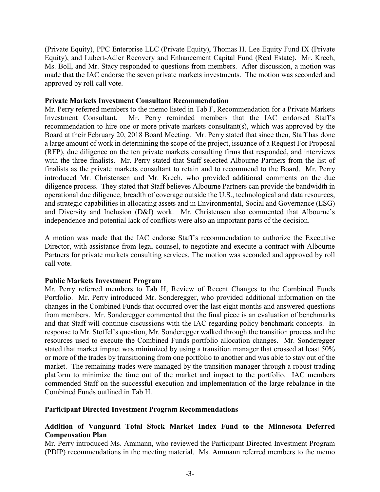(Private Equity), PPC Enterprise LLC (Private Equity), Thomas H. Lee Equity Fund IX (Private Equity), and Lubert-Adler Recovery and Enhancement Capital Fund (Real Estate). Mr. Krech, Ms. Boll, and Mr. Stacy responded to questions from members. After discussion, a motion was made that the IAC endorse the seven private markets investments. The motion was seconded and approved by roll call vote.

#### **Private Markets Investment Consultant Recommendation**

Mr. Perry referred members to the memo listed in Tab F, Recommendation for a Private Markets Investment Consultant. Mr. Perry reminded members that the IAC endorsed Staff's recommendation to hire one or more private markets consultant(s), which was approved by the Board at their February 20, 2018 Board Meeting. Mr. Perry stated that since then, Staff has done a large amount of work in determining the scope of the project, issuance of a Request For Proposal (RFP), due diligence on the ten private markets consulting firms that responded, and interviews with the three finalists. Mr. Perry stated that Staff selected Albourne Partners from the list of finalists as the private markets consultant to retain and to recommend to the Board. Mr. Perry introduced Mr. Christensen and Mr. Krech, who provided additional comments on the due diligence process. They stated that Staff believes Albourne Partners can provide the bandwidth in operational due diligence, breadth of coverage outside the U.S., technological and data resources, and strategic capabilities in allocating assets and in Environmental, Social and Governance (ESG) and Diversity and Inclusion (D&I) work. Mr. Christensen also commented that Albourne's independence and potential lack of conflicts were also an important parts of the decision.

A motion was made that the IAC endorse Staff's recommendation to authorize the Executive Director, with assistance from legal counsel, to negotiate and execute a contract with Albourne Partners for private markets consulting services. The motion was seconded and approved by roll call vote.

## **Public Markets Investment Program**

Mr. Perry referred members to Tab H, Review of Recent Changes to the Combined Funds Portfolio. Mr. Perry introduced Mr. Sonderegger, who provided additional information on the changes in the Combined Funds that occurred over the last eight months and answered questions from members. Mr. Sonderegger commented that the final piece is an evaluation of benchmarks and that Staff will continue discussions with the IAC regarding policy benchmark concepts. In response to Mr. Stoffel's question, Mr. Sonderegger walked through the transition process and the resources used to execute the Combined Funds portfolio allocation changes. Mr. Sonderegger stated that market impact was minimized by using a transition manager that crossed at least 50% or more of the trades by transitioning from one portfolio to another and was able to stay out of the market. The remaining trades were managed by the transition manager through a robust trading platform to minimize the time out of the market and impact to the portfolio. IAC members commended Staff on the successful execution and implementation of the large rebalance in the Combined Funds outlined in Tab H.

## **Participant Directed Investment Program Recommendations**

## **Addition of Vanguard Total Stock Market Index Fund to the Minnesota Deferred Compensation Plan**

Mr. Perry introduced Ms. Ammann, who reviewed the Participant Directed Investment Program (PDIP) recommendations in the meeting material. Ms. Ammann referred members to the memo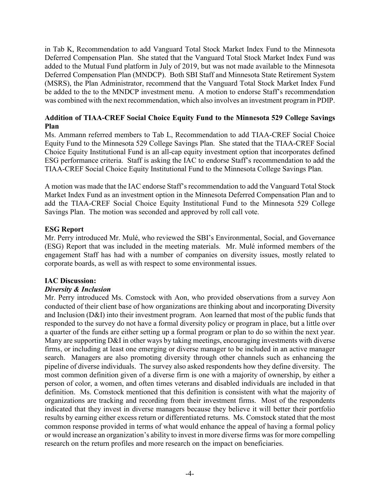in Tab K, Recommendation to add Vanguard Total Stock Market Index Fund to the Minnesota Deferred Compensation Plan. She stated that the Vanguard Total Stock Market Index Fund was added to the Mutual Fund platform in July of 2019, but was not made available to the Minnesota Deferred Compensation Plan (MNDCP). Both SBI Staff and Minnesota State Retirement System (MSRS), the Plan Administrator, recommend that the Vanguard Total Stock Market Index Fund be added to the to the MNDCP investment menu. A motion to endorse Staff's recommendation was combined with the next recommendation, which also involves an investment program in PDIP.

# **Addition of TIAA-CREF Social Choice Equity Fund to the Minnesota 529 College Savings Plan**

Ms. Ammann referred members to Tab L, Recommendation to add TIAA-CREF Social Choice Equity Fund to the Minnesota 529 College Savings Plan. She stated that the TIAA-CREF Social Choice Equity Institutional Fund is an all-cap equity investment option that incorporates defined ESG performance criteria. Staff is asking the IAC to endorse Staff's recommendation to add the TIAA-CREF Social Choice Equity Institutional Fund to the Minnesota College Savings Plan.

A motion was made that the IAC endorse Staff's recommendation to add the Vanguard Total Stock Market Index Fund as an investment option in the Minnesota Deferred Compensation Plan and to add the TIAA-CREF Social Choice Equity Institutional Fund to the Minnesota 529 College Savings Plan. The motion was seconded and approved by roll call vote.

## **ESG Report**

Mr. Perry introduced Mr. Mulé, who reviewed the SBI's Environmental, Social, and Governance (ESG) Report that was included in the meeting materials. Mr. Mulé informed members of the engagement Staff has had with a number of companies on diversity issues, mostly related to corporate boards, as well as with respect to some environmental issues.

## **IAC Discussion:**

## *Diversity & Inclusion*

Mr. Perry introduced Ms. Comstock with Aon, who provided observations from a survey Aon conducted of their client base of how organizations are thinking about and incorporating Diversity and Inclusion (D&I) into their investment program. Aon learned that most of the public funds that responded to the survey do not have a formal diversity policy or program in place, but a little over a quarter of the funds are either setting up a formal program or plan to do so within the next year. Many are supporting D&I in other ways by taking meetings, encouraging investments with diverse firms, or including at least one emerging or diverse manager to be included in an active manager search. Managers are also promoting diversity through other channels such as enhancing the pipeline of diverse individuals. The survey also asked respondents how they define diversity. The most common definition given of a diverse firm is one with a majority of ownership, by either a person of color, a women, and often times veterans and disabled individuals are included in that definition. Ms. Comstock mentioned that this definition is consistent with what the majority of organizations are tracking and recording from their investment firms. Most of the respondents indicated that they invest in diverse managers because they believe it will better their portfolio results by earning either excess return or differentiated returns. Ms. Comstock stated that the most common response provided in terms of what would enhance the appeal of having a formal policy or would increase an organization's ability to invest in more diverse firms was for more compelling research on the return profiles and more research on the impact on beneficiaries.